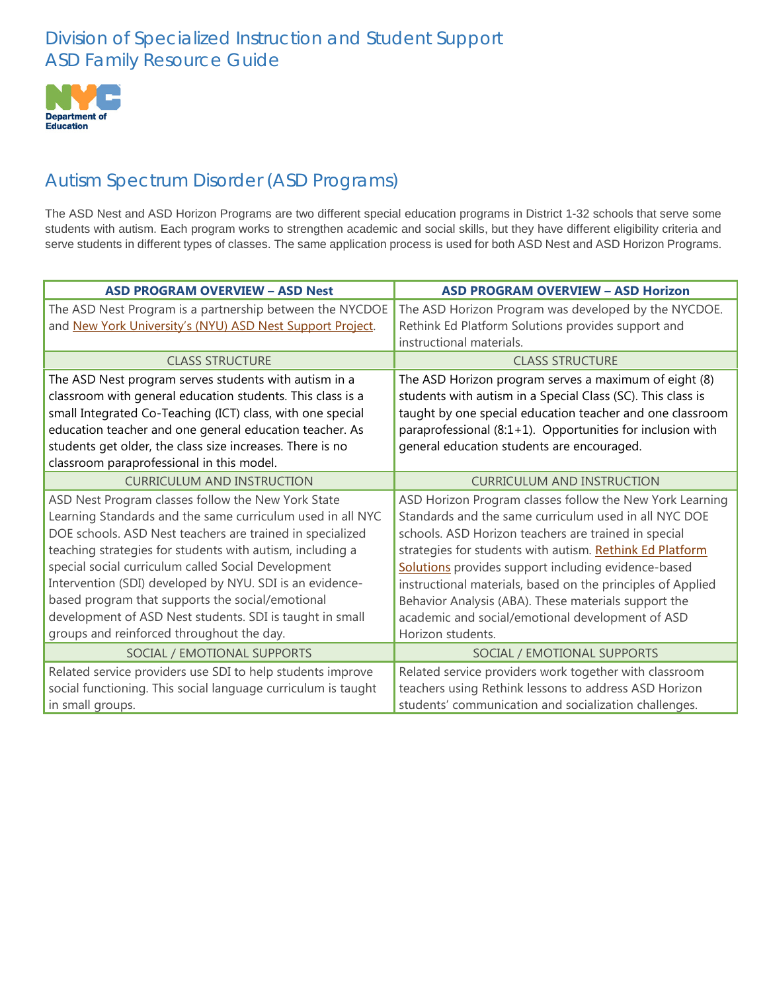### Division of Specialized Instruction and Student Support ASD Family Resource Guide



# Autism Spectrum Disorder (ASD Programs)

The ASD Nest and ASD Horizon Programs are two different special education programs in District 1-32 schools that serve some students with autism. Each program works to strengthen academic and social skills, but they have different eligibility criteria and serve students in different types of classes. The same application process is used for both ASD Nest and ASD Horizon Programs.

| <b>ASD PROGRAM OVERVIEW - ASD Nest</b>                        | <b>ASD PROGRAM OVERVIEW - ASD Horizon</b>                   |
|---------------------------------------------------------------|-------------------------------------------------------------|
| The ASD Nest Program is a partnership between the NYCDOE      | The ASD Horizon Program was developed by the NYCDOE.        |
| and New York University's (NYU) ASD Nest Support Project.     | Rethink Ed Platform Solutions provides support and          |
|                                                               | instructional materials.                                    |
| <b>CLASS STRUCTURE</b>                                        | <b>CLASS STRUCTURE</b>                                      |
| The ASD Nest program serves students with autism in a         | The ASD Horizon program serves a maximum of eight (8)       |
| classroom with general education students. This class is a    | students with autism in a Special Class (SC). This class is |
| small Integrated Co-Teaching (ICT) class, with one special    | taught by one special education teacher and one classroom   |
| education teacher and one general education teacher. As       | paraprofessional (8:1+1). Opportunities for inclusion with  |
| students get older, the class size increases. There is no     | general education students are encouraged.                  |
| classroom paraprofessional in this model.                     |                                                             |
| <b>CURRICULUM AND INSTRUCTION</b>                             | <b>CURRICULUM AND INSTRUCTION</b>                           |
| ASD Nest Program classes follow the New York State            | ASD Horizon Program classes follow the New York Learning    |
| Learning Standards and the same curriculum used in all NYC    | Standards and the same curriculum used in all NYC DOE       |
| DOE schools. ASD Nest teachers are trained in specialized     | schools. ASD Horizon teachers are trained in special        |
| teaching strategies for students with autism, including a     | strategies for students with autism. Rethink Ed Platform    |
| special social curriculum called Social Development           | Solutions provides support including evidence-based         |
| Intervention (SDI) developed by NYU. SDI is an evidence-      | instructional materials, based on the principles of Applied |
| based program that supports the social/emotional              | Behavior Analysis (ABA). These materials support the        |
| development of ASD Nest students. SDI is taught in small      | academic and social/emotional development of ASD            |
| groups and reinforced throughout the day.                     | Horizon students.                                           |
| SOCIAL / EMOTIONAL SUPPORTS                                   | SOCIAL / EMOTIONAL SUPPORTS                                 |
| Related service providers use SDI to help students improve    | Related service providers work together with classroom      |
| social functioning. This social language curriculum is taught | teachers using Rethink lessons to address ASD Horizon       |
| in small groups.                                              | students' communication and socialization challenges.       |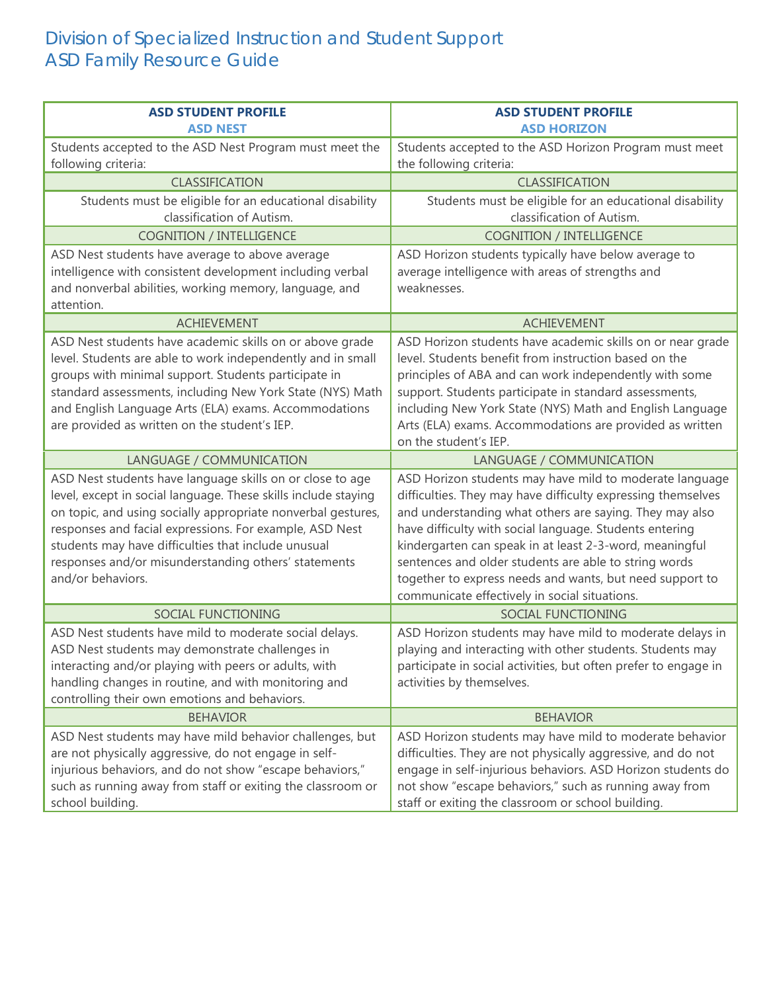## Division of Specialized Instruction and Student Support ASD Family Resource Guide

| <b>ASD STUDENT PROFILE</b><br><b>ASD NEST</b>                                                                                                                                                                                                                                                                                                                                              | <b>ASD STUDENT PROFILE</b><br><b>ASD HORIZON</b>                                                                                                                                                                                                                                                                                                                                                                                                                               |
|--------------------------------------------------------------------------------------------------------------------------------------------------------------------------------------------------------------------------------------------------------------------------------------------------------------------------------------------------------------------------------------------|--------------------------------------------------------------------------------------------------------------------------------------------------------------------------------------------------------------------------------------------------------------------------------------------------------------------------------------------------------------------------------------------------------------------------------------------------------------------------------|
| Students accepted to the ASD Nest Program must meet the<br>following criteria:                                                                                                                                                                                                                                                                                                             | Students accepted to the ASD Horizon Program must meet<br>the following criteria:                                                                                                                                                                                                                                                                                                                                                                                              |
| <b>CLASSIFICATION</b>                                                                                                                                                                                                                                                                                                                                                                      | <b>CLASSIFICATION</b>                                                                                                                                                                                                                                                                                                                                                                                                                                                          |
| Students must be eligible for an educational disability<br>classification of Autism.                                                                                                                                                                                                                                                                                                       | Students must be eligible for an educational disability<br>classification of Autism.                                                                                                                                                                                                                                                                                                                                                                                           |
| <b>COGNITION / INTELLIGENCE</b>                                                                                                                                                                                                                                                                                                                                                            | <b>COGNITION / INTELLIGENCE</b>                                                                                                                                                                                                                                                                                                                                                                                                                                                |
| ASD Nest students have average to above average<br>intelligence with consistent development including verbal<br>and nonverbal abilities, working memory, language, and<br>attention.                                                                                                                                                                                                       | ASD Horizon students typically have below average to<br>average intelligence with areas of strengths and<br>weaknesses.                                                                                                                                                                                                                                                                                                                                                        |
| <b>ACHIEVEMENT</b>                                                                                                                                                                                                                                                                                                                                                                         | <b>ACHIEVEMENT</b>                                                                                                                                                                                                                                                                                                                                                                                                                                                             |
| ASD Nest students have academic skills on or above grade<br>level. Students are able to work independently and in small<br>groups with minimal support. Students participate in<br>standard assessments, including New York State (NYS) Math<br>and English Language Arts (ELA) exams. Accommodations<br>are provided as written on the student's IEP.                                     | ASD Horizon students have academic skills on or near grade<br>level. Students benefit from instruction based on the<br>principles of ABA and can work independently with some<br>support. Students participate in standard assessments,<br>including New York State (NYS) Math and English Language<br>Arts (ELA) exams. Accommodations are provided as written<br>on the student's IEP.                                                                                       |
| LANGUAGE / COMMUNICATION                                                                                                                                                                                                                                                                                                                                                                   | LANGUAGE / COMMUNICATION                                                                                                                                                                                                                                                                                                                                                                                                                                                       |
| ASD Nest students have language skills on or close to age<br>level, except in social language. These skills include staying<br>on topic, and using socially appropriate nonverbal gestures,<br>responses and facial expressions. For example, ASD Nest<br>students may have difficulties that include unusual<br>responses and/or misunderstanding others' statements<br>and/or behaviors. | ASD Horizon students may have mild to moderate language<br>difficulties. They may have difficulty expressing themselves<br>and understanding what others are saying. They may also<br>have difficulty with social language. Students entering<br>kindergarten can speak in at least 2-3-word, meaningful<br>sentences and older students are able to string words<br>together to express needs and wants, but need support to<br>communicate effectively in social situations. |
| SOCIAL FUNCTIONING                                                                                                                                                                                                                                                                                                                                                                         | SOCIAL FUNCTIONING                                                                                                                                                                                                                                                                                                                                                                                                                                                             |
| ASD Nest students have mild to moderate social delays.<br>ASD Nest students may demonstrate challenges in<br>interacting and/or playing with peers or adults, with<br>handling changes in routine, and with monitoring and<br>controlling their own emotions and behaviors.                                                                                                                | ASD Horizon students may have mild to moderate delays in<br>playing and interacting with other students. Students may<br>participate in social activities, but often prefer to engage in<br>activities by themselves.                                                                                                                                                                                                                                                          |
| <b>BEHAVIOR</b>                                                                                                                                                                                                                                                                                                                                                                            | <b>BEHAVIOR</b>                                                                                                                                                                                                                                                                                                                                                                                                                                                                |
| ASD Nest students may have mild behavior challenges, but<br>are not physically aggressive, do not engage in self-<br>injurious behaviors, and do not show "escape behaviors,"<br>such as running away from staff or exiting the classroom or<br>school building.                                                                                                                           | ASD Horizon students may have mild to moderate behavior<br>difficulties. They are not physically aggressive, and do not<br>engage in self-injurious behaviors. ASD Horizon students do<br>not show "escape behaviors," such as running away from<br>staff or exiting the classroom or school building.                                                                                                                                                                         |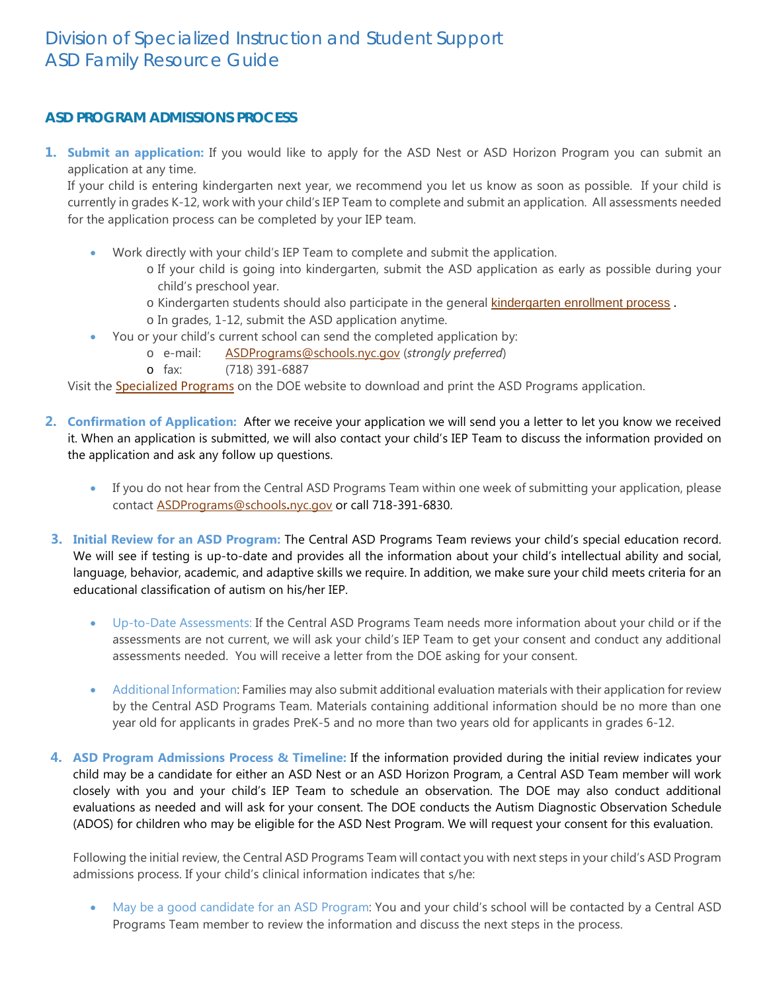### **ASD PROGRAM ADMISSIONS PROCESS**

**1. Submit an application:** If you would like to apply for the ASD Nest or ASD Horizon Program you can submit an application at any time.

If your child is entering kindergarten next year, we recommend you let us know as soon as possible. If your child is currently in grades K-12, work with your child's IEP Team to complete and submit an application. All assessments needed for the application process can be completed by your IEP team.

- Work directly with your child's IEP Team to complete and submit the application.
	- o If your child is going into kindergarten, submit the ASD application as early as possible during your child's preschool year.
	- o Kindergarten students should also participate in the general **[kindergarten enrollment process](http://schools.nyc.gov/ChoicesEnrollment/Elementary/kindergarten.html)**.
	- o In grades, 1-12, submit the ASD application anytime.
- You or your child's current school can send the completed application by:
	- o e-mail: [ASDPrograms@schools.nyc.gov](mailto:ASDPrograms@schools.nyc.gov) (*strongly preferred*)
	- o fax: (718) 391-6887

Visit the [Specialized Programs](http://schools.nyc.gov/Academics/SpecialEducation/SupportsServices/specializedprograms/default.htm) on the DOE website to download and print the ASD Programs application.

- **2. Confirmation of Application:** After we receive your application we will send you a letter to let you know we received it. When an application is submitted, we will also contact your child's IEP Team to discuss the information provided on the application and ask any follow up questions.
	- If you do not hear from the Central ASD Programs Team within one week of submitting your application, please contact [ASDPrograms@schools](mailto:ASDPrograms@schools.nyc.gov)**.**nyc.gov or call 718-391-6830.
- **3. Initial Review for an ASD Program:** The Central ASD Programs Team reviews your child's special education record. We will see if testing is up-to-date and provides all the information about your child's intellectual ability and social, language, behavior, academic, and adaptive skills we require. In addition, we make sure your child meets criteria for an educational classification of autism on his/her IEP.
	- Up-to-Date Assessments: If the Central ASD Programs Team needs more information about your child or if the assessments are not current, we will ask your child's IEP Team to get your consent and conduct any additional assessments needed. You will receive a letter from the DOE asking for your consent.
	- Additional Information: Families may also submit additional evaluation materials with their application for review by the Central ASD Programs Team. Materials containing additional information should be no more than one year old for applicants in grades PreK-5 and no more than two years old for applicants in grades 6-12.
- **4. ASD Program Admissions Process & Timeline:** If the information provided during the initial review indicates your child may be a candidate for either an ASD Nest or an ASD Horizon Program, a Central ASD Team member will work closely with you and your child's IEP Team to schedule an observation. The DOE may also conduct additional evaluations as needed and will ask for your consent. The DOE conducts the Autism Diagnostic Observation Schedule (ADOS) for children who may be eligible for the ASD Nest Program. We will request your consent for this evaluation.

Following the initial review, the Central ASD Programs Team will contact you with next steps in your child's ASD Program admissions process. If your child's clinical information indicates that s/he:

• May be a good candidate for an ASD Program: You and your child's school will be contacted by a Central ASD Programs Team member to review the information and discuss the next steps in the process.